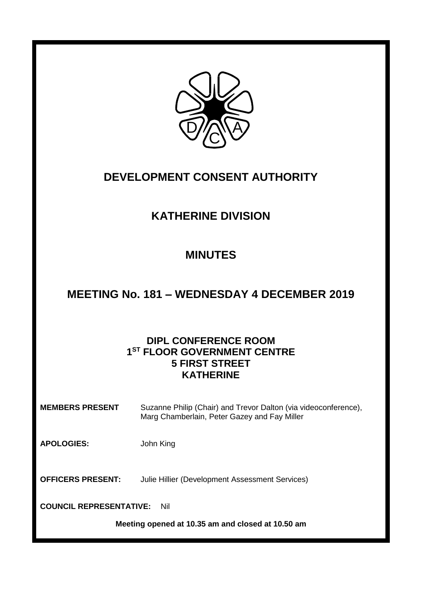

### **DEVELOPMENT CONSENT AUTHORITY**

# **KATHERINE DIVISION**

## **MINUTES**

### **MEETING No. 181 – WEDNESDAY 4 DECEMBER 2019**

### **DIPL CONFERENCE ROOM 1 ST FLOOR GOVERNMENT CENTRE 5 FIRST STREET KATHERINE**

**MEMBERS PRESENT** Suzanne Philip (Chair) and Trevor Dalton (via videoconference), Marg Chamberlain, Peter Gazey and Fay Miller

**APOLOGIES:** John King

**OFFICERS PRESENT:** Julie Hillier (Development Assessment Services)

**COUNCIL REPRESENTATIVE:** Nil

**Meeting opened at 10.35 am and closed at 10.50 am**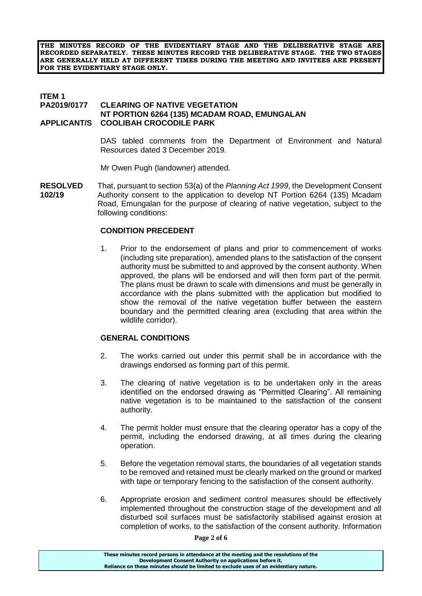**THE MINUTES RECORD OF THE EVIDENTIARY STAGE AND THE DELIBERATIVE STAGE ARE RECORDED SEPARATELY. THESE MINUTES RECORD THE DELIBERATIVE STAGE. THE TWO STAGES ARE GENERALLY HELD AT DIFFERENT TIMES DURING THE MEETING AND INVITEES ARE PRESENT FOR THE EVIDENTIARY STAGE ONLY.**

#### **ITEM 1**<br>**PA2019/0177 CLEARING OF NATIVE VEGETATION NT PORTION 6264 (135) MCADAM ROAD, EMUNGALAN APPLICANT/S COOLIBAH CROCODILE PARK**

DAS tabled comments from the Department of Environment and Natural Resources dated 3 December 2019.

Mr Owen Pugh (landowner) attended.

**RESOLVED** That, pursuant to section 53(a) of the *Planning Act 1999*, the Development Consent **102/19** Authority consent to the application to develop NT Portion 6264 (135) Mcadam Road, Emungalan for the purpose of clearing of native vegetation, subject to the following conditions:

#### **CONDITION PRECEDENT**

1. Prior to the endorsement of plans and prior to commencement of works (including site preparation), amended plans to the satisfaction of the consent authority must be submitted to and approved by the consent authority. When approved, the plans will be endorsed and will then form part of the permit. The plans must be drawn to scale with dimensions and must be generally in accordance with the plans submitted with the application but modified to show the removal of the native vegetation buffer between the eastern boundary and the permitted clearing area (excluding that area within the wildlife corridor).

#### **GENERAL CONDITIONS**

- 2. The works carried out under this permit shall be in accordance with the drawings endorsed as forming part of this permit.
- 3. The clearing of native vegetation is to be undertaken only in the areas identified on the endorsed drawing as "Permitted Clearing". All remaining native vegetation is to be maintained to the satisfaction of the consent authority.
- 4. The permit holder must ensure that the clearing operator has a copy of the permit, including the endorsed drawing, at all times during the clearing operation.
- 5. Before the vegetation removal starts, the boundaries of all vegetation stands to be removed and retained must be clearly marked on the ground or marked with tape or temporary fencing to the satisfaction of the consent authority.
- 6. Appropriate erosion and sediment control measures should be effectively implemented throughout the construction stage of the development and all disturbed soil surfaces must be satisfactorily stabilised against erosion at completion of works, to the satisfaction of the consent authority. Information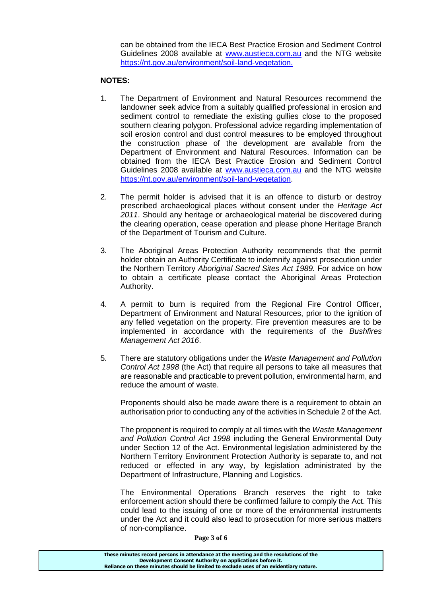can be obtained from the IECA Best Practice Erosion and Sediment Control Guidelines 2008 available at [www.austieca.com.au](http://www.austieca.com.au/) and the NTG website [https://nt.gov.au/environment/soil-land-vegetation.](https://nt.gov.au/environment/soil-land-vegetation)

#### **NOTES:**

- 1. The Department of Environment and Natural Resources recommend the landowner seek advice from a suitably qualified professional in erosion and sediment control to remediate the existing gullies close to the proposed southern clearing polygon. Professional advice regarding implementation of soil erosion control and dust control measures to be employed throughout the construction phase of the development are available from the Department of Environment and Natural Resources. Information can be obtained from the IECA Best Practice Erosion and Sediment Control Guidelines 2008 available at [www.austieca.com.au](http://www.austieca.com.au/) and the NTG website [https://nt.gov.au/environment/soil-land-vegetation.](https://nt.gov.au/environment/soil-land-vegetation)
- 2. The permit holder is advised that it is an offence to disturb or destroy prescribed archaeological places without consent under the *Heritage Act 2011*. Should any heritage or archaeological material be discovered during the clearing operation, cease operation and please phone Heritage Branch of the Department of Tourism and Culture.
- 3. The Aboriginal Areas Protection Authority recommends that the permit holder obtain an Authority Certificate to indemnify against prosecution under the Northern Territory *Aboriginal Sacred Sites Act 1989.* For advice on how to obtain a certificate please contact the Aboriginal Areas Protection Authority.
- 4. A permit to burn is required from the Regional Fire Control Officer, Department of Environment and Natural Resources, prior to the ignition of any felled vegetation on the property. Fire prevention measures are to be implemented in accordance with the requirements of the *Bushfires Management Act 2016*.
- 5. There are statutory obligations under the *Waste Management and Pollution Control Act 1998* (the Act) that require all persons to take all measures that are reasonable and practicable to prevent pollution, environmental harm, and reduce the amount of waste.

Proponents should also be made aware there is a requirement to obtain an authorisation prior to conducting any of the activities in Schedule 2 of the Act.

The proponent is required to comply at all times with the *Waste Management and Pollution Control Act 1998* including the General Environmental Duty under Section 12 of the Act. Environmental legislation administered by the Northern Territory Environment Protection Authority is separate to, and not reduced or effected in any way, by legislation administrated by the Department of Infrastructure, Planning and Logistics.

The Environmental Operations Branch reserves the right to take enforcement action should there be confirmed failure to comply the Act. This could lead to the issuing of one or more of the environmental instruments under the Act and it could also lead to prosecution for more serious matters of non-compliance.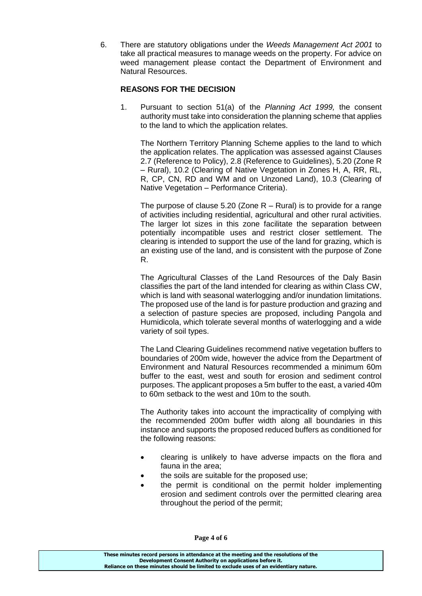6. There are statutory obligations under the *Weeds Management Act 2001* to take all practical measures to manage weeds on the property. For advice on weed management please contact the Department of Environment and Natural Resources.

### **REASONS FOR THE DECISION**

1. Pursuant to section 51(a) of the *Planning Act 1999,* the consent authority must take into consideration the planning scheme that applies to the land to which the application relates.

The Northern Territory Planning Scheme applies to the land to which the application relates. The application was assessed against Clauses 2.7 (Reference to Policy), 2.8 (Reference to Guidelines), 5.20 (Zone R – Rural), 10.2 (Clearing of Native Vegetation in Zones H, A, RR, RL, R, CP, CN, RD and WM and on Unzoned Land), 10.3 (Clearing of Native Vegetation – Performance Criteria).

The purpose of clause 5.20 (Zone  $R - R$ ural) is to provide for a range of activities including residential, agricultural and other rural activities. The larger lot sizes in this zone facilitate the separation between potentially incompatible uses and restrict closer settlement. The clearing is intended to support the use of the land for grazing, which is an existing use of the land, and is consistent with the purpose of Zone R.

The Agricultural Classes of the Land Resources of the Daly Basin classifies the part of the land intended for clearing as within Class CW, which is land with seasonal waterlogging and/or inundation limitations. The proposed use of the land is for pasture production and grazing and a selection of pasture species are proposed, including Pangola and Humidicola, which tolerate several months of waterlogging and a wide variety of soil types.

The Land Clearing Guidelines recommend native vegetation buffers to boundaries of 200m wide, however the advice from the Department of Environment and Natural Resources recommended a minimum 60m buffer to the east, west and south for erosion and sediment control purposes. The applicant proposes a 5m buffer to the east, a varied 40m to 60m setback to the west and 10m to the south.

The Authority takes into account the impracticality of complying with the recommended 200m buffer width along all boundaries in this instance and supports the proposed reduced buffers as conditioned for the following reasons:

- clearing is unlikely to have adverse impacts on the flora and fauna in the area;
- the soils are suitable for the proposed use;
- the permit is conditional on the permit holder implementing erosion and sediment controls over the permitted clearing area throughout the period of the permit;

**Page 4 of 6**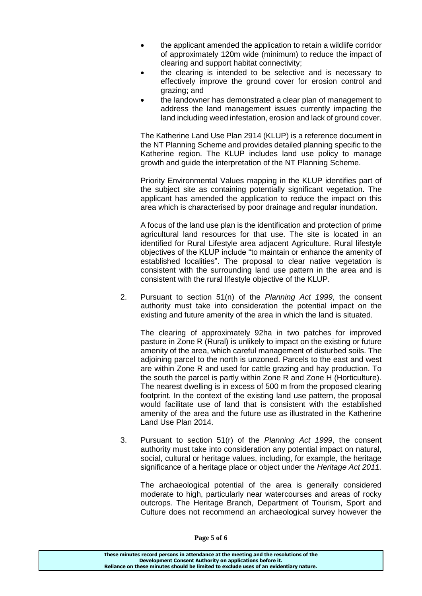- the applicant amended the application to retain a wildlife corridor of approximately 120m wide (minimum) to reduce the impact of clearing and support habitat connectivity;
- the clearing is intended to be selective and is necessary to effectively improve the ground cover for erosion control and grazing; and
- the landowner has demonstrated a clear plan of management to address the land management issues currently impacting the land including weed infestation, erosion and lack of ground cover.

The Katherine Land Use Plan 2914 (KLUP) is a reference document in the NT Planning Scheme and provides detailed planning specific to the Katherine region. The KLUP includes land use policy to manage growth and guide the interpretation of the NT Planning Scheme.

Priority Environmental Values mapping in the KLUP identifies part of the subject site as containing potentially significant vegetation. The applicant has amended the application to reduce the impact on this area which is characterised by poor drainage and regular inundation.

A focus of the land use plan is the identification and protection of prime agricultural land resources for that use. The site is located in an identified for Rural Lifestyle area adjacent Agriculture. Rural lifestyle objectives of the KLUP include "to maintain or enhance the amenity of established localities". The proposal to clear native vegetation is consistent with the surrounding land use pattern in the area and is consistent with the rural lifestyle objective of the KLUP.

2. Pursuant to section 51(n) of the *Planning Act 1999*, the consent authority must take into consideration the potential impact on the existing and future amenity of the area in which the land is situated.

The clearing of approximately 92ha in two patches for improved pasture in Zone R (Rural) is unlikely to impact on the existing or future amenity of the area, which careful management of disturbed soils. The adjoining parcel to the north is unzoned. Parcels to the east and west are within Zone R and used for cattle grazing and hay production. To the south the parcel is partly within Zone R and Zone H (Horticulture). The nearest dwelling is in excess of 500 m from the proposed clearing footprint. In the context of the existing land use pattern, the proposal would facilitate use of land that is consistent with the established amenity of the area and the future use as illustrated in the Katherine Land Use Plan 2014.

3. Pursuant to section 51(r) of the *Planning Act 1999*, the consent authority must take into consideration any potential impact on natural, social, cultural or heritage values, including, for example, the heritage significance of a heritage place or object under the *Heritage Act 2011.*

The archaeological potential of the area is generally considered moderate to high, particularly near watercourses and areas of rocky outcrops. The Heritage Branch, Department of Tourism, Sport and Culture does not recommend an archaeological survey however the